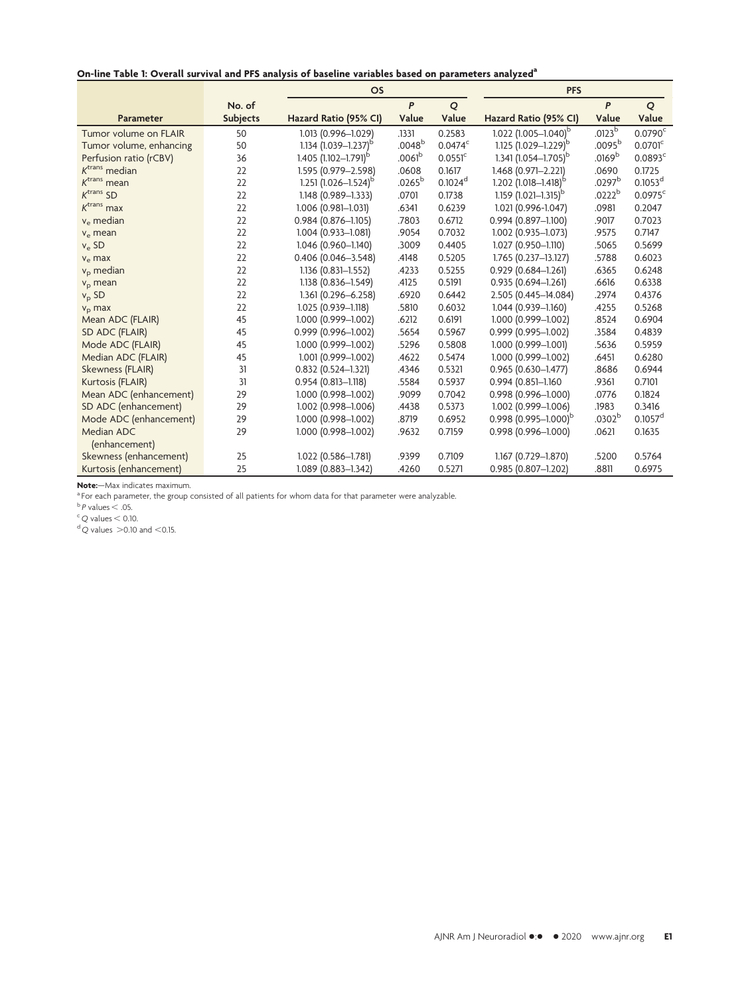|  |  | On-line Table 1: Overall survival and PFS analysis of baseline variables based on parameters analyzed <sup>a</sup> |  |  |
|--|--|--------------------------------------------------------------------------------------------------------------------|--|--|
|  |  |                                                                                                                    |  |  |

|                              |                 | <b>OS</b>                       |                    |                       | <b>PFS</b>                         |                    |                       |
|------------------------------|-----------------|---------------------------------|--------------------|-----------------------|------------------------------------|--------------------|-----------------------|
|                              | No. of          |                                 | P                  | Q                     |                                    | P                  | Q                     |
| <b>Parameter</b>             | <b>Subjects</b> | Hazard Ratio (95% CI)           | Value              | Value                 | Hazard Ratio (95% CI)              | Value              | Value                 |
| Tumor volume on FLAIR        | 50              | 1.013 (0.996-1.029)             | .1331              | 0.2583                | $1.022$ (1.005-1.040) <sup>b</sup> | .0123 <sup>b</sup> | $0.0790^{\circ}$      |
| Tumor volume, enhancing      | 50              | 1.134 $(1.039 - 1.237)^{b}$     | $.0048^{b}$        | $0.0474^c$            | 1.125 $(1.029 - 1.229)^b$          | .0095 <sup>b</sup> | $0.0701^{\circ}$      |
| Perfusion ratio (rCBV)       | 36              | 1.405 $(1.102 - 1.791)^{\circ}$ | .0061 <sup>b</sup> | $0.0551^{\circ}$      | 1.341 $(1.054 - 1.705)^{b}$        | .0169 <sup>b</sup> | $0.0893^c$            |
| $K$ <sup>trans</sup> median  | 22              | 1.595 (0.979-2.598)             | .0608              | 0.1617                | 1.468 (0.971-2.221)                | .0690              | 0.1725                |
| $K$ <sup>trans</sup><br>mean | 22              | 1.251 $(1.026 - 1.524)^{b}$     | $.0265^{\rm b}$    | $0.1024$ <sup>d</sup> | 1.202 $(1.018 - 1.418)^{b}$        | $.0297^b$          | $0.1053$ <sup>d</sup> |
| $K$ <sup>trans</sup> SD      | 22              | 1.148 (0.989-1.333)             | .0701              | 0.1738                | $1.159$ (1.021-1.315) <sup>b</sup> | .0222 <sup>b</sup> | $0.0975^{\circ}$      |
| $K$ <sup>trans</sup> max     | 22              | 1.006 (0.981-1.031)             | .6341              | 0.6239                | 1.021 (0.996-1.047)                | .0981              | 0.2047                |
| $v_e$ median                 | 22              | $0.984(0.876 - 1.105)$          | .7803              | 0.6712                | 0.994 (0.897-1.100)                | .9017              | 0.7023                |
| $V_{\rho}$ mean              | 22              | 1.004 (0.933-1.081)             | .9054              | 0.7032                | 1.002 (0.935-1.073)                | .9575              | 0.7147                |
| $V_e$ SD                     | 22              | 1.046 (0.960-1.140)             | .3009              | 0.4405                | 1.027 (0.950-1.110)                | .5065              | 0.5699                |
| $V_{\rho}$ max               | 22              | $0.406$ (0.046-3.548)           | .4148              | 0.5205                | 1.765 (0.237-13.127)               | .5788              | 0.6023                |
| $v_p$ median                 | 22              | 1.136 (0.831-1.552)             | .4233              | 0.5255                | $0.929$ (0.684-1.261)              | .6365              | 0.6248                |
| $v_p$ mean                   | 22              | 1.138 (0.836-1.549)             | .4125              | 0.5191                | $0.935(0.694 - 1.261)$             | .6616              | 0.6338                |
| $v_p$ SD                     | 22              | 1.361 (0.296-6.258)             | .6920              | 0.6442                | 2.505 (0.445-14.084)               | .2974              | 0.4376                |
| $V_D$ max                    | 22              | 1.025 (0.939-1.118)             | .5810              | 0.6032                | 1.044 (0.939-1.160)                | .4255              | 0.5268                |
| Mean ADC (FLAIR)             | 45              | 1.000 (0.999-1.002)             | .6212              | 0.6191                | 1.000 (0.999-1.002)                | .8524              | 0.6904                |
| SD ADC (FLAIR)               | 45              | $0.999$ (0.996-1.002)           | .5654              | 0.5967                | $0.999$ (0.995-1.002)              | .3584              | 0.4839                |
| Mode ADC (FLAIR)             | 45              | 1.000 (0.999-1.002)             | .5296              | 0.5808                | 1.000 (0.999-1.001)                | .5636              | 0.5959                |
| Median ADC (FLAIR)           | 45              | 1.001 (0.999-1.002)             | .4622              | 0.5474                | 1.000 (0.999-1.002)                | .6451              | 0.6280                |
| Skewness (FLAIR)             | 31              | $0.832$ (0.524-1.321)           | .4346              | 0.5321                | $0.965(0.630 - 1.477)$             | .8686              | 0.6944                |
| Kurtosis (FLAIR)             | 31              | 0.954 (0.813-1.118)             | .5584              | 0.5937                | 0.994 (0.851-1.160                 | .9361              | 0.7101                |
| Mean ADC (enhancement)       | 29              | 1.000 (0.998-1.002)             | .9099              | 0.7042                | $0.998(0.996 - 1.000)$             | .0776              | 0.1824                |
| SD ADC (enhancement)         | 29              | 1.002 (0.998-1.006)             | .4438              | 0.5373                | 1.002 (0.999-1.006)                | .1983              | 0.3416                |
| Mode ADC (enhancement)       | 29              | 1.000 (0.998-1.002)             | .8719              | 0.6952                | $0.998$ (0.995-1.000) <sup>b</sup> | .0302 <sup>b</sup> | $0.1057$ <sup>d</sup> |
| Median ADC                   | 29              | 1.000 (0.998-1.002)             | .9632              | 0.7159                | $0.998(0.996 - 1.000)$             | .0621              | 0.1635                |
| (enhancement)                |                 |                                 |                    |                       |                                    |                    |                       |
| Skewness (enhancement)       | 25              | 1.022 (0.586-1.781)             | .9399              | 0.7109                | 1.167 (0.729-1.870)                | .5200              | 0.5764                |
| Kurtosis (enhancement)       | 25              | 1.089 (0.883-1.342)             | .4260              | 0.5271                | 0.985 (0.807-1.202)                | .8811              | 0.6975                |

**Note:**—Max indicates maximum.<br><sup>a</sup> For each parameter, the group consisted of all patients for whom data for that parameter were analyzable.

 $b$  P values  $<$  .05.

 $c$   $Q$  values  $<$  0.10.

 $d$  Q values  $>$  0.10 and  $<$  0.15.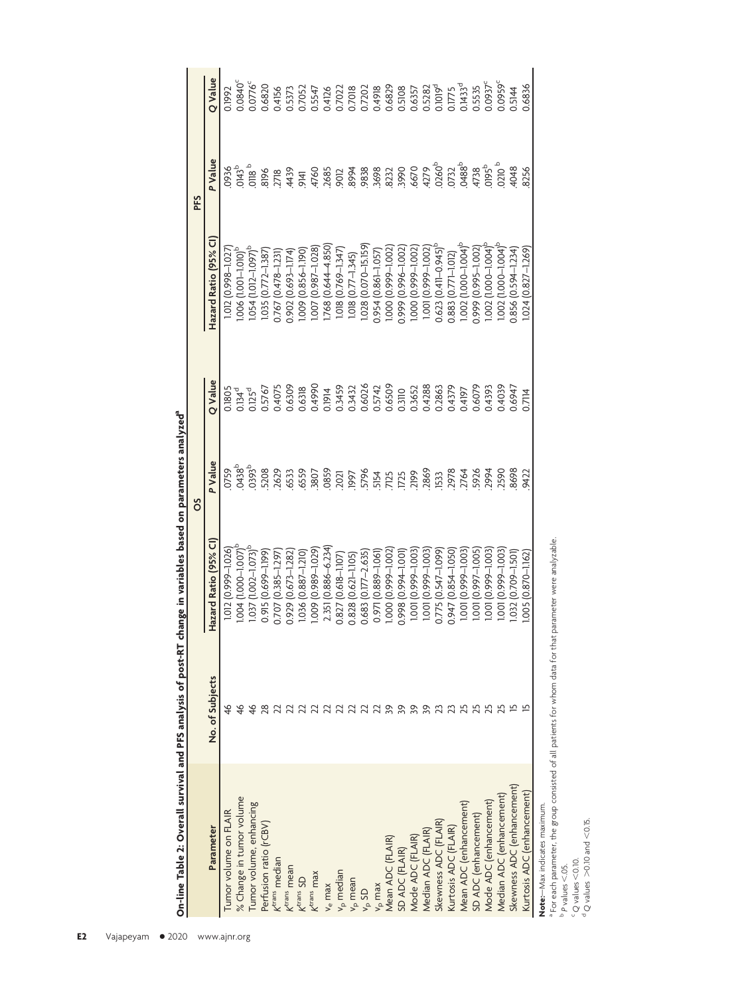|                            |                 |                            | 8O                |                      |                                    | PFS                        |                     |
|----------------------------|-----------------|----------------------------|-------------------|----------------------|------------------------------------|----------------------------|---------------------|
| Parameter                  | No. of Subjects | Hazard Ratio (95% CI)      | P Value           | 2 Value              | Hazard Ratio (95% CI)              | P Value                    | Q Value             |
| Tumor volume on FLAIR      | $\frac{4}{6}$   | 1012 (0.999-1.026)         | 0759              | 0.1805               | 0.012 (0.998-1.027                 | 0936                       | 0.1992              |
| % Change in tumor volume   |                 | 1.004 (1.000-1.007)        | 0438 <sup>b</sup> | $0.134$ <sup>d</sup> | $.006$ $(1.001 - 1.010)^{1}$       |                            | $0.0840^{\circ}$    |
| Tumor volume, enhancing    |                 | 1.037 (1.002-1.073)        | 0393 <sup>b</sup> | 0.125 <sup>d</sup>   | $1.054$ (1.012–1.097) <sup>b</sup> | $0143^{b}$                 | $0.0776^{\circ}$    |
| Perfusion ratio (rCBV)     |                 | 0.915 (0.699-1.199)        | 5208              | 0.5767               | 1.035 (0.772-1.387                 | 8196                       | 0.6820              |
| K <sup>trans</sup> median  |                 | $(0.385 - 1.297)$<br>0.707 | 2629              | 0.4075               | 0.767 (0.478-1.23)                 | 2718                       | 0.4156              |
| ktrans mean                |                 | 0.929 (0.673-1.282)        | 6533              | 0.6309               | 0.902 (0.693–1.174)                | 4439                       | 0.5373              |
| $k$ <sup>trans</sup> SD    |                 | 1.036 (0.887-1.210)        | 6559              | 0.6318               | 009 (0.856-1.190)                  | 9141                       | 0.7052              |
| k <sup>trans</sup> max     |                 | $(0.989 - 1.029)$<br>1.009 | 3807              | 0.4990               | 0.07 (0.987-1.028)                 | 4760                       | 0.5547              |
| $V_e$ max                  |                 | 2.351 (0.886-6.234)        | 0859              | 0.1914               | 1768 (0.644-4.850                  | .2685                      | 0.4126              |
| V <sub>p</sub> median      |                 | $(0.618 - 1.107)$<br>0.827 | 2021              | 0.3459               | 1.018 (0.769-1.347)                | 9012                       | 0.7022              |
| $V_p$ mean                 |                 | $0.828(0.621 - 1.105)$     | 1661              | 0.3432               | $1.018(0.77 - 1.345)$              | 8994                       | 0.7018              |
| $V_p$ SD                   |                 | 0.683 (0.177-2.635)        | 5796              | 0.6026               | 1.028 (0.070-15.159)               | 9838                       | 0.7202              |
| $v_p$ max                  |                 | 0.971 (0.889-1.061         | 5154              | 0.5742               | 0.954 (0.861-1.057                 | 3698                       | 0.4918              |
| Mean ADC (FLAIR)           |                 | 1.000 (0.999-1.002)        | 7125              | 0.6509               | 1.000 (0.999-1.002                 | 8232                       | 0.6829              |
| SD ADC (FLAIR)             |                 | 0.998 (0.994-1.001)        | <b>1725</b>       | 0.3110               | 0.999 (0.996-1.002                 | 3990                       | 0.5108              |
| Mode ADC (FLAIR)           | ల్ల             | 1.001 (0.999-1.003)        | 2199              | 0.3652               | 1.000 (0.999-1.002                 | 6670                       | 0.6357              |
| Median ADC (FLAIR)         |                 | 1.001 (0.999-1.003)        | 2869              | 0.4288               | 1.001 (0.999-1.002)                | 4279<br>.0260 <sup>b</sup> | 0.5282              |
| Skewness ADC (FLAIR)       |                 | $0.775$ $(0.547 - 1.099)$  | 1533              | 0.2863               | $0.623(0.411 - 0.945)^p$           |                            | 0.1019 <sup>d</sup> |
| Kurtosis ADC (FLAIR)       |                 | $0.947(0.854 - 1.050)$     | 2978              | 0.4379               | $0.883(0.771-1.012)$               | 0732                       | ).1775              |
| Mean ADC (enhancement)     |                 | 1.001 (0.999-1.003)        | 2764              | 0.4197               | $1.002$ $(1.000 - 1.004)^p$        | 0488 <sup>b</sup>          | 0.1433 <sup>d</sup> |
| SD ADC (enhancement)       |                 | 1.001 (0.997-1.005)        | 5926              | 0.6079               | 0.999 (0.995-1.002                 |                            | 0.5535              |
| Mode ADC (enhancement)     |                 | 1.001 (0.999-1.003)        | 2994              | 0.4393               | $1.002$ $(1.000 - 1.004)$          | 4738<br>0195 <sup>b</sup>  | $0.0937^{\circ}$    |
| Median ADC (enhancement)   |                 | 1.001 (0.999-1.003)        | 2590              | 0.4039               | $1.002$ $(1.000 - 1.004)$          | 0210                       | 0.0959 <sup>c</sup> |
| Skewness ADC (enhancement  |                 | $1.032$ (0.709-1.501)      | 8698              | 0.6947               | 0.856 (0.594-1.234)                | 4048                       | 0.5144              |
| Kurtosis ADC (enhancement) |                 | 1.005 (0.870-1.162         | 9422              | 0.7114               | 1.024 (0.827-1.269)                | 8256                       | 0.6836              |
| ata May indicator may impo |                 |                            |                   |                      |                                    |                            |                     |

—Max indicates maximum.

**Note:**—N<br><sup>a</sup> For each<br><sup>b p</sup> values  $^{\sf a}$  For each parameter, the group consisted of all patients for whom data for that parameter were analyzable.

,.05. c Q values ,0.10.

<sup>d</sup> O values  $>0.10$  and ,0.15.

On-line Table 2: Overall survival and PFS analysis of post-RT change in variables based on parameters analyzed $^{\rm a}$ 

On-line Table 2: Overall survival and PFS analysis of post-RT change in variables based on parameters analyzed<sup>a</sup>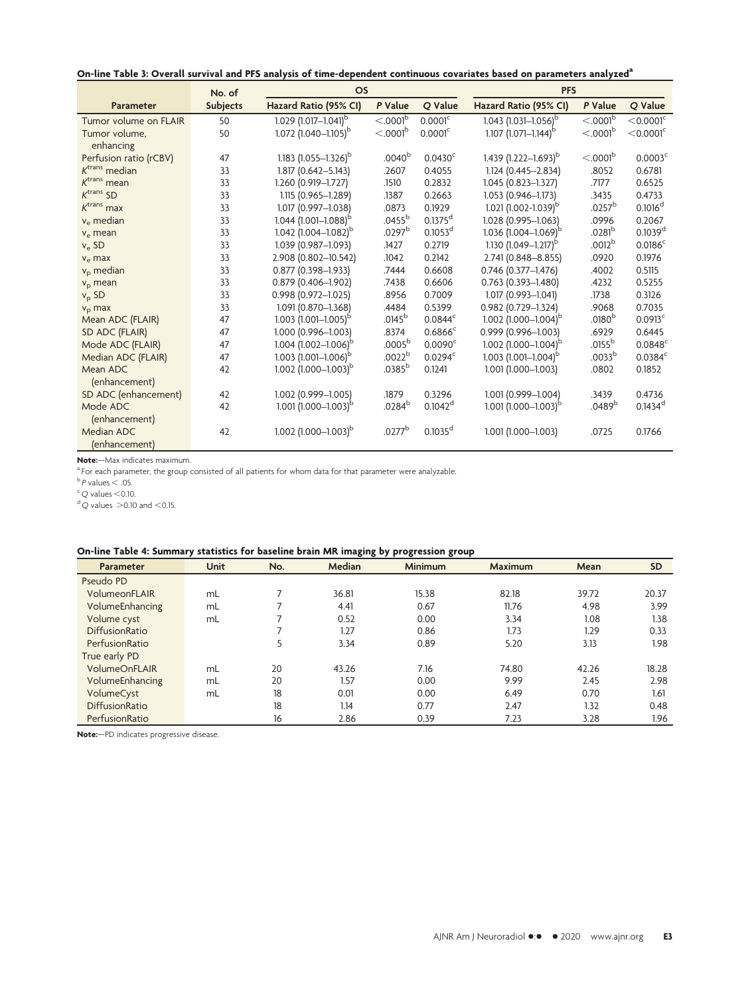| On-line Table 3: Overall survival and PFS analysis of time-dependent continuous covariates based on parameters analyzed <sup>a</sup> |  |
|--------------------------------------------------------------------------------------------------------------------------------------|--|
|--------------------------------------------------------------------------------------------------------------------------------------|--|

|                                | No. of          | <b>OS</b>                   |                    |                       | <b>PFS</b>                         |                      |                          |
|--------------------------------|-----------------|-----------------------------|--------------------|-----------------------|------------------------------------|----------------------|--------------------------|
| <b>Parameter</b>               | <b>Subjects</b> | Hazard Ratio (95% CI)       | P Value            | Q Value               | Hazard Ratio (95% CI)              | P Value              | Q Value                  |
| Tumor volume on FLAIR          | 50              | 1.029 $(1.017 - 1.041)^{b}$ | $< .0001^b$        | 0.0001 <sup>c</sup>   | 1.043 $(1.031 - 1.056)^{b}$        | $<$ .0001 $^{\rm b}$ | $<$ 0.0001 $^{\circ}$    |
| Tumor volume,                  | 50              | 1.072 $(1.040-1.105)^{6}$   | $< .0001^b$        | 0.0001 <sup>c</sup>   | 1.107 $(1.071 - 1.144)^{b}$        | $< .0001^b$          | $<$ 0.0001 $\textdegree$ |
| enhancing                      |                 |                             |                    |                       |                                    |                      |                          |
| Perfusion ratio (rCBV)         | 47              | 1.183 $(1.055 - 1.326)^b$   | .0040 <sup>b</sup> | $0.0430^{\circ}$      | 1.439 $(1.222 - 1.693)^b$          | $< 0.0001^b$         | 0.0003 <sup>c</sup>      |
| $K$ <sup>trans</sup><br>median | 33              | 1.817 (0.642-5.143)         | .2607              | 0.4055                | 1.124 (0.445-2.834)                | .8052                | 0.6781                   |
| $K$ <sup>trans</sup><br>mean   | 33              | 1.260 (0.919-1.727)         | .1510              | 0.2832                | 1.045 (0.823-1.327)                | .7177                | 0.6525                   |
| $K$ <sup>trans</sup> SD        | 33              | 1.115 (0.965-1.289)         | .1387              | 0.2663                | 1.053 (0.946-1.173)                | .3435                | 0.4733                   |
| $K$ <sup>trans</sup><br>max    | 33              | 1.017 (0.997-1.038)         | .0873              | 0.1929                | $1.021$ (1.002-1.039) <sup>b</sup> | $.0257^b$            | 0.1016 <sup>d</sup>      |
| $v_e$ median                   | 33              | 1.044 $(1.001 - 1.088)^{b}$ | $.0455^{\rm b}$    | $0.1375$ <sup>d</sup> | 1.028 (0.995-1.063)                | .0996                | 0.2067                   |
| $v_e$ mean                     | 33              | 1.042 $(1.004 - 1.082)^{b}$ | $.0297^b$          | 0.1053 <sup>d</sup>   | 1.036 $(1.004 - 1.069)^{D}$        | .0281 <sup>b</sup>   | $0.1039$ <sup>d</sup>    |
| $V_{e}$ SD                     | 33              | 1.039 (0.987-1.093)         | .1427              | 0.2719                | 1.130 $(1.049 - 1.217)^b$          | .0012 <sup>b</sup>   | $0.0186^c$               |
| $V_{\rho}$ max                 | 33              | 2.908 (0.802-10.542)        | .1042              | 0.2142                | 2.741 (0.848-8.855)                | .0920                | 0.1976                   |
| $v_p$ median                   | 33              | 0.877 (0.398-1.933)         | .7444              | 0.6608                | 0.746 (0.377-1.476)                | .4002                | 0.5115                   |
| $v_p$ mean                     | 33              | $0.879$ (0.406-1.902)       | .7438              | 0.6606                | $0.763$ (0.393-1.480)              | .4232                | 0.5255                   |
| $v_p$ SD                       | 33              | 0.998 (0.972-1.025)         | .8956              | 0.7009                | 1.017 (0.993-1.041)                | .1738                | 0.3126                   |
| $VD$ max                       | 33              | 1.091 (0.870-1.368)         | .4484              | 0.5399                | 0.982 (0.729-1.324)                | .9068                | 0.7035                   |
| Mean ADC (FLAIR)               | 47              | 1.003 $(1.001 - 1.005)^{b}$ | $.0145^b$          | $0.0844^{\circ}$      | 1.002 $(1.000-1.004)^{b}$          | .0180 <sup>b</sup>   | $0.0913^c$               |
| SD ADC (FLAIR)                 | 47              | 1.000 (0.996-1.003)         | .8374              | $0.6866^{\circ}$      | 0.999 (0.996-1.003)                | .6929                | 0.6445                   |
| Mode ADC (FLAIR)               | 47              | 1.004 $(1.002 - 1.006)^{b}$ | .0005 <sup>b</sup> | $0.0090^c$            | 1.002 $(1.000-1.004)^{b}$          | $.0155^{\circ}$      | $0.0848^{\circ}$         |
| Median ADC (FLAIR)             | 47              | 1.003 $(1.001 - 1.006)^{b}$ | .0022 <sup>b</sup> | 0.0294 <sup>c</sup>   | $1.003$ (1.001-1.004) <sup>b</sup> | .0033 <sup>b</sup>   | 0.0384 <sup>c</sup>      |
| Mean ADC                       | 42              | 1.002 $(1.000-1.003)^b$     | $.0385^{b}$        | 0.1241                | 1.001 (1.000-1.003)                | .0802                | 0.1852                   |
| (enhancement)                  |                 |                             |                    |                       |                                    |                      |                          |
| SD ADC (enhancement)           | 42              | 1.002 (0.999-1.005)         | .1879              | 0.3296                | 1.001 (0.999-1.004)                | .3439                | 0.4736                   |
| Mode ADC                       | 42              | 1.001 $(1.000-1.003)^{b}$   | $.0284^{b}$        | $0.1042^d$            | $1.001(1.000 - 1.003)^b$           | .0489 <sup>b</sup>   | $0.1434$ <sup>d</sup>    |
| (enhancement)                  |                 |                             |                    |                       |                                    |                      |                          |
| Median ADC                     | 42              | 1.002 $(1.000-1.003)^b$     | .0277 <sup>b</sup> | $0.1035$ <sup>d</sup> | 1.001 (1.000-1.003)                | .0725                | 0.1766                   |
| (enhancement)                  |                 |                             |                    |                       |                                    |                      |                          |

Note:—Max indicates maximum.

<sup>a</sup> For each parameter, the group consisted of all patients for whom data for that parameter were analyzable.

 $\frac{b}{p}$  values  $< .05$ .

 $c$  Q values  $<$  0.10.

 $d$  Q values  $>$  0.10 and  $<$  0.15.

## On-line Table 4: Summary statistics for baseline brain MR imaging by progression group

| Parameter             | Unit | No. | Median | Minimum | <b>Maximum</b> | Mean  | <b>SD</b> |
|-----------------------|------|-----|--------|---------|----------------|-------|-----------|
| Pseudo PD             |      |     |        |         |                |       |           |
| VolumeonFLAIR         | mL   |     | 36.81  | 15.38   | 82.18          | 39.72 | 20.37     |
| VolumeEnhancing       | mL   |     | 4.41   | 0.67    | 11.76          | 4.98  | 3.99      |
| Volume cyst           | mL   |     | 0.52   | 0.00    | 3.34           | 1.08  | 1.38      |
| DiffusionRatio        |      |     | 1.27   | 0.86    | 1.73           | 1.29  | 0.33      |
| PerfusionRatio        |      | 5   | 3.34   | 0.89    | 5.20           | 3.13  | 1.98      |
| True early PD         |      |     |        |         |                |       |           |
| <b>VolumeOnFLAIR</b>  | mL   | 20  | 43.26  | 7.16    | 74.80          | 42.26 | 18.28     |
| VolumeEnhancing       | mL   | 20  | 1.57   | 0.00    | 9.99           | 2.45  | 2.98      |
| VolumeCyst            | mL   | 18  | 0.01   | 0.00    | 6.49           | 0.70  | 1.61      |
| <b>DiffusionRatio</b> |      | 18  | 1.14   | 0.77    | 2.47           | 1.32  | 0.48      |
| PerfusionRatio        |      | 16  | 2.86   | 0.39    | 7.23           | 3.28  | 1.96      |

Note:—PD indicates progressive disease.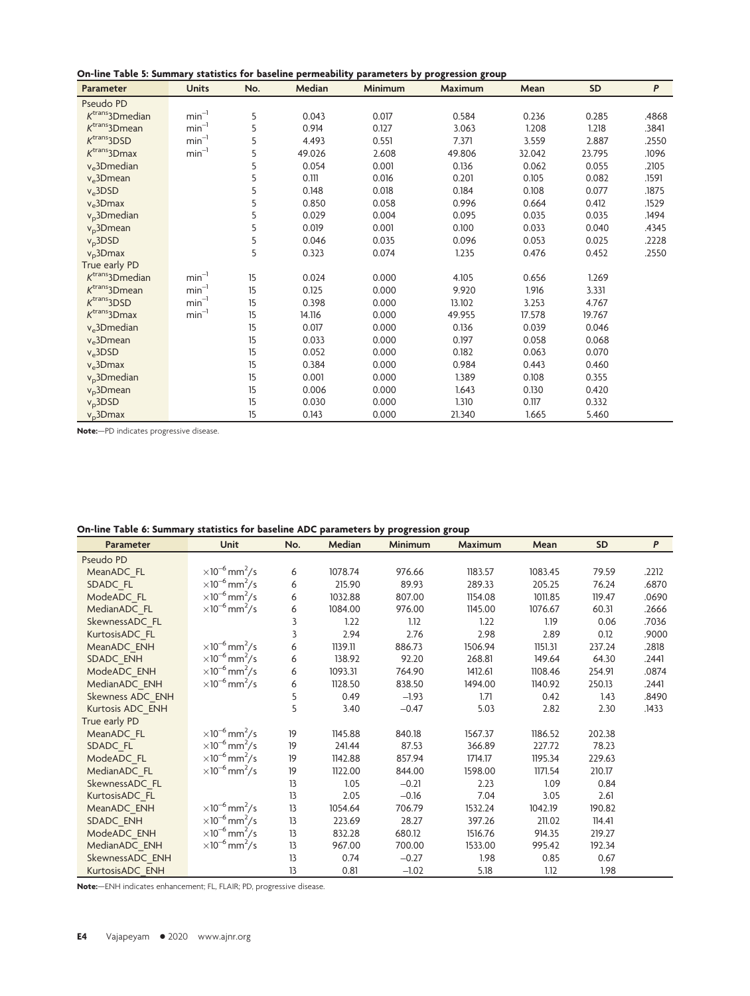| On-line Table 5: Summary statistics for baseline permeability parameters by progression group |  |  |  |
|-----------------------------------------------------------------------------------------------|--|--|--|
|-----------------------------------------------------------------------------------------------|--|--|--|

| Parameter                   | <b>Units</b> | No. | Median | Minimum | Maximum | Mean   | <b>SD</b> | P     |
|-----------------------------|--------------|-----|--------|---------|---------|--------|-----------|-------|
| Pseudo PD                   |              |     |        |         |         |        |           |       |
| $Ktrans$ 3Dmedian           | $min^{-1}$   | 5   | 0.043  | 0.017   | 0.584   | 0.236  | 0.285     | .4868 |
| $Ktrans$ 3Dmean             | $min^{-1}$   | 5   | 0.914  | 0.127   | 3.063   | 1.208  | 1.218     | .3841 |
| $K^{\text{trans}}$ 3DSD     | $min^{-1}$   | 5   | 4.493  | 0.551   | 7.371   | 3.559  | 2.887     | .2550 |
| $K^{\text{trans}}$ 3Dmax    | $min^{-1}$   | 5   | 49.026 | 2.608   | 49.806  | 32.042 | 23.795    | .1096 |
| v <sub>e</sub> 3Dmedian     |              | 5   | 0.054  | 0.001   | 0.136   | 0.062  | 0.055     | .2105 |
| v <sub>e</sub> 3Dmean       |              | 5   | 0.111  | 0.016   | 0.201   | 0.105  | 0.082     | .1591 |
| $v_e$ 3DSD                  |              | 5   | 0.148  | 0.018   | 0.184   | 0.108  | 0.077     | .1875 |
| $v_e$ 3Dmax                 |              | 5   | 0.850  | 0.058   | 0.996   | 0.664  | 0.412     | .1529 |
| $v_p$ 3Dmedian              |              | 5   | 0.029  | 0.004   | 0.095   | 0.035  | 0.035     | .1494 |
| v <sub>p</sub> 3Dmean       |              | 5   | 0.019  | 0.001   | 0.100   | 0.033  | 0.040     | .4345 |
| $v_p$ 3DSD                  |              | 5   | 0.046  | 0.035   | 0.096   | 0.053  | 0.025     | .2228 |
| $v_p$ 3Dmax                 |              | 5   | 0.323  | 0.074   | 1.235   | 0.476  | 0.452     | .2550 |
| True early PD               |              |     |        |         |         |        |           |       |
| $K^{\text{trans}}$ 3Dmedian | $min^{-1}$   | 15  | 0.024  | 0.000   | 4.105   | 0.656  | 1.269     |       |
| $K$ <sup>trans</sup> 3Dmean | $min^{-1}$   | 15  | 0.125  | 0.000   | 9.920   | 1.916  | 3.331     |       |
| $K^{\text{trans}}$ 3DSD     | $min^{-1}$   | 15  | 0.398  | 0.000   | 13.102  | 3.253  | 4.767     |       |
| $K$ <sup>trans</sup> 3Dmax  | $min^{-1}$   | 15  | 14.116 | 0.000   | 49.955  | 17.578 | 19.767    |       |
| $v_e$ 3Dmedian              |              | 15  | 0.017  | 0.000   | 0.136   | 0.039  | 0.046     |       |
| v <sub>e</sub> 3Dmean       |              | 15  | 0.033  | 0.000   | 0.197   | 0.058  | 0.068     |       |
| $v_e$ 3DSD                  |              | 15  | 0.052  | 0.000   | 0.182   | 0.063  | 0.070     |       |
| v <sub>e</sub> 3Dmax        |              | 15  | 0.384  | 0.000   | 0.984   | 0.443  | 0.460     |       |
| $v_p$ 3Dmedian              |              | 15  | 0.001  | 0.000   | 1.389   | 0.108  | 0.355     |       |
| v <sub>p</sub> 3Dmean       |              | 15  | 0.006  | 0.000   | 1.643   | 0.130  | 0.420     |       |
| $v_p$ 3DSD                  |              | 15  | 0.030  | 0.000   | 1.310   | 0.117  | 0.332     |       |
| $v_p$ 3Dmax                 |              | 15  | 0.143  | 0.000   | 21.340  | 1.665  | 5.460     |       |

Note:—PD indicates progressive disease.

| On-line Table 6: Summary statistics for baseline ADC parameters by progression group |  |  |  |  |  |
|--------------------------------------------------------------------------------------|--|--|--|--|--|
|--------------------------------------------------------------------------------------|--|--|--|--|--|

| On-tine Table 6: Summary statistics for baseline ADC parameters by progression group<br>Parameter | <b>Unit</b>                                  | No. | Median  | Minimum | Maximum | Mean    | <b>SD</b> | P     |
|---------------------------------------------------------------------------------------------------|----------------------------------------------|-----|---------|---------|---------|---------|-----------|-------|
| Pseudo PD                                                                                         |                                              |     |         |         |         |         |           |       |
|                                                                                                   | $\times 10^{-6}$ mm <sup>2</sup> /s          |     |         | 976.66  | 1183.57 |         |           |       |
| MeanADC FL                                                                                        |                                              | 6   | 1078.74 |         |         | 1083.45 | 79.59     | .2212 |
| SDADC FL                                                                                          | $\times$ 10 <sup>-6</sup> mm <sup>2</sup> /s | 6   | 215.90  | 89.93   | 289.33  | 205.25  | 76.24     | .6870 |
| ModeADC FL                                                                                        | $\times 10^{-6}$ mm <sup>2</sup> /s          | 6   | 1032.88 | 807.00  | 1154.08 | 1011.85 | 119.47    | .0690 |
| MedianADC_FL                                                                                      | $\times$ 10 <sup>-6</sup> mm <sup>2</sup> /s | 6   | 1084.00 | 976.00  | 1145.00 | 1076.67 | 60.31     | .2666 |
| SkewnessADC FL                                                                                    |                                              | 3   | 1.22    | 1.12    | 1.22    | 1.19    | 0.06      | .7036 |
| KurtosisADC_FL                                                                                    |                                              | 3   | 2.94    | 2.76    | 2.98    | 2.89    | 0.12      | .9000 |
| MeanADC_ENH                                                                                       | $\times 10^{-6}$ mm <sup>2</sup> /s          | 6   | 1139.11 | 886.73  | 1506.94 | 1151.31 | 237.24    | .2818 |
| SDADC_ENH                                                                                         | $\times$ 10 <sup>-6</sup> mm <sup>2</sup> /s | 6   | 138.92  | 92.20   | 268.81  | 149.64  | 64.30     | .2441 |
| ModeADC_ENH                                                                                       | $\times 10^{-6}$ mm <sup>2</sup> /s          | 6   | 1093.31 | 764.90  | 1412.61 | 1108.46 | 254.91    | .0874 |
| MedianADC_ENH                                                                                     | $\times 10^{-6}$ mm <sup>2</sup> /s          | 6   | 1128.50 | 838.50  | 1494.00 | 1140.92 | 250.13    | .2441 |
| Skewness ADC ENH                                                                                  |                                              | 5   | 0.49    | $-1.93$ | 1.71    | 0.42    | 1.43      | .8490 |
| Kurtosis ADC ENH                                                                                  |                                              | 5   | 3.40    | $-0.47$ | 5.03    | 2.82    | 2.30      | .1433 |
| True early PD                                                                                     |                                              |     |         |         |         |         |           |       |
| MeanADC FL                                                                                        | $\times 10^{-6}$ mm <sup>2</sup> /s          | 19  | 1145.88 | 840.18  | 1567.37 | 1186.52 | 202.38    |       |
| SDADC_FL                                                                                          | $\times 10^{-6}$ mm <sup>2</sup> /s          | 19  | 241.44  | 87.53   | 366.89  | 227.72  | 78.23     |       |
| ModeADC FL                                                                                        | $\times 10^{-6}$ mm <sup>2</sup> /s          | 19  | 1142.88 | 857.94  | 1714.17 | 1195.34 | 229.63    |       |
| MedianADC FL                                                                                      | $\times 10^{-6}$ mm <sup>2</sup> /s          | 19  | 1122.00 | 844.00  | 1598.00 | 1171.54 | 210.17    |       |
| SkewnessADC FL                                                                                    |                                              | 13  | 1.05    | $-0.21$ | 2.23    | 1.09    | 0.84      |       |
| KurtosisADC_FL                                                                                    |                                              | 13  | 2.05    | $-0.16$ | 7.04    | 3.05    | 2.61      |       |
| MeanADC ENH                                                                                       | $\times 10^{-6}$ mm <sup>2</sup> /s          | 13  | 1054.64 | 706.79  | 1532.24 | 1042.19 | 190.82    |       |
| SDADC ENH                                                                                         | $\times 10^{-6}$ mm <sup>2</sup> /s          | 13  | 223.69  | 28.27   | 397.26  | 211.02  | 114.41    |       |
| ModeADC_ENH                                                                                       | $\times$ 10 <sup>-6</sup> mm <sup>2</sup> /s | 13  | 832.28  | 680.12  | 1516.76 | 914.35  | 219.27    |       |
| MedianADC ENH                                                                                     | $\times 10^{-6}$ mm <sup>2</sup> /s          | 13  | 967.00  | 700.00  | 1533.00 | 995.42  | 192.34    |       |
| SkewnessADC ENH                                                                                   |                                              | 13  | 0.74    | $-0.27$ | 1.98    | 0.85    | 0.67      |       |
| KurtosisADC_ENH                                                                                   |                                              | 13  | 0.81    | $-1.02$ | 5.18    | 1.12    | 1.98      |       |

Note:—ENH indicates enhancement; FL, FLAIR; PD, progressive disease.